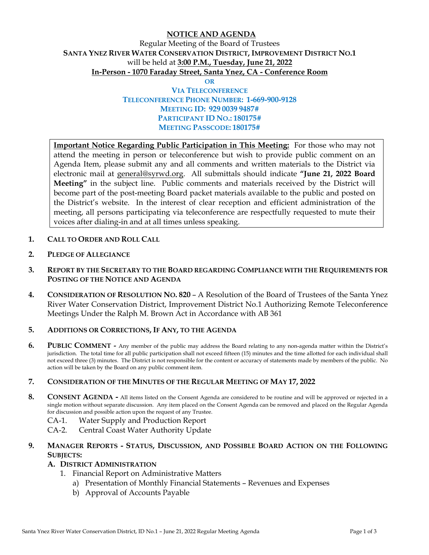# **NOTICE AND AGENDA**  Regular Meeting of the Board of Trustees **SANTA YNEZ RIVER WATER CONSERVATION DISTRICT, IMPROVEMENT DISTRICT NO.1**  will be held at **3:00 P.M., Tuesday, June 21, 2022 In-Person - 1070 Faraday Street, Santa Ynez, CA - Conference Room**

**OR**

## **VIA TELECONFERENCE TELECONFERENCE PHONE NUMBER: 1-669-900-9128 MEETING ID: 929 0039 9487# PARTICIPANT ID NO.: 180175# MEETING PASSCODE: 180175#**

**Important Notice Regarding Public Participation in This Meeting:** For those who may not attend the meeting in person or teleconference but wish to provide public comment on an Agenda Item, please submit any and all comments and written materials to the District via electronic mail at general@syrwd.org. All submittals should indicate **"June 21, 2022 Board Meeting"** in the subject line. Public comments and materials received by the District will become part of the post-meeting Board packet materials available to the public and posted on the District's website. In the interest of clear reception and efficient administration of the meeting, all persons participating via teleconference are respectfully requested to mute their voices after dialing-in and at all times unless speaking.

- **1. CALL TO ORDER AND ROLL CALL**
- **2. PLEDGE OF ALLEGIANCE**
- **3. REPORT BY THE SECRETARY TO THE BOARD REGARDING COMPLIANCE WITH THE REQUIREMENTS FOR POSTING OF THE NOTICE AND AGENDA**
- **4. CONSIDERATION OF RESOLUTION NO. 820** A Resolution of the Board of Trustees of the Santa Ynez River Water Conservation District, Improvement District No.1 Authorizing Remote Teleconference Meetings Under the Ralph M. Brown Act in Accordance with AB 361

#### **5. ADDITIONS OR CORRECTIONS, IF ANY, TO THE AGENDA**

**6. PUBLIC COMMENT -** Any member of the public may address the Board relating to any non-agenda matter within the District's jurisdiction. The total time for all public participation shall not exceed fifteen (15) minutes and the time allotted for each individual shall not exceed three (3) minutes. The District is not responsible for the content or accuracy of statements made by members of the public. No action will be taken by the Board on any public comment item.

#### **7. CONSIDERATION OF THE MINUTES OF THE REGULAR MEETING OF MAY 17, 2022**

- **8. CONSENT AGENDA -** All items listed on the Consent Agenda are considered to be routine and will be approved or rejected in a single motion without separate discussion. Any item placed on the Consent Agenda can be removed and placed on the Regular Agenda for discussion and possible action upon the request of any Trustee.
	- CA-1. Water Supply and Production Report
	- CA-2. Central Coast Water Authority Update

## **9. MANAGER REPORTS - STATUS, DISCUSSION, AND POSSIBLE BOARD ACTION ON THE FOLLOWING SUBJECTS:**

#### **A. DISTRICT ADMINISTRATION**

- 1. Financial Report on Administrative Matters
	- a) Presentation of Monthly Financial Statements Revenues and Expenses
	- b) Approval of Accounts Payable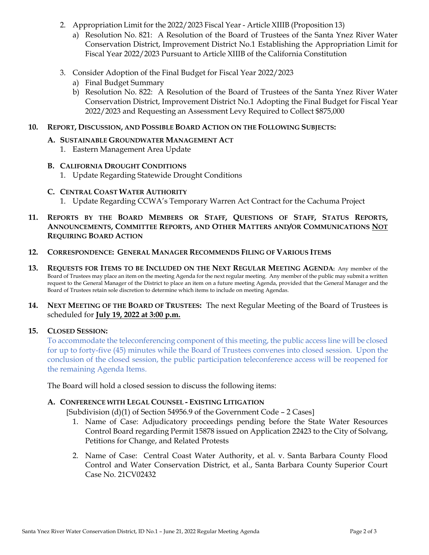- 2. Appropriation Limit for the 2022/2023 Fiscal Year Article XIIIB (Proposition 13)
	- a) Resolution No. 821: A Resolution of the Board of Trustees of the Santa Ynez River Water Conservation District, Improvement District No.1 Establishing the Appropriation Limit for Fiscal Year 2022/2023 Pursuant to Article XIIIB of the California Constitution
- 3. Consider Adoption of the Final Budget for Fiscal Year 2022/2023
	- a) Final Budget Summary
	- b) Resolution No. 822: A Resolution of the Board of Trustees of the Santa Ynez River Water Conservation District, Improvement District No.1 Adopting the Final Budget for Fiscal Year 2022/2023 and Requesting an Assessment Levy Required to Collect \$875,000
- **10. REPORT, DISCUSSION, AND POSSIBLE BOARD ACTION ON THE FOLLOWING SUBJECTS:**

## **A. SUSTAINABLE GROUNDWATER MANAGEMENT ACT**

1. Eastern Management Area Update

## **B. CALIFORNIA DROUGHT CONDITIONS**

1. Update Regarding Statewide Drought Conditions

## **C. CENTRAL COAST WATER AUTHORITY**

- 1. Update Regarding CCWA's Temporary Warren Act Contract for the Cachuma Project
- **11. REPORTS BY THE BOARD MEMBERS OR STAFF, QUESTIONS OF STAFF, STATUS REPORTS, ANNOUNCEMENTS, COMMITTEE REPORTS, AND OTHER MATTERS AND/OR COMMUNICATIONS NOT REQUIRING BOARD ACTION**

#### **12. CORRESPONDENCE: GENERAL MANAGER RECOMMENDS FILING OF VARIOUS ITEMS**

**13. REQUESTS FOR ITEMS TO BE INCLUDED ON THE NEXT REGULAR MEETING AGENDA:** Any member of the Board of Trustees may place an item on the meeting Agenda for the next regular meeting. Any member of the public may submit a written request to the General Manager of the District to place an item on a future meeting Agenda, provided that the General Manager and the Board of Trustees retain sole discretion to determine which items to include on meeting Agendas.

## **14. NEXT MEETING OF THE BOARD OF TRUSTEES:** The next Regular Meeting of the Board of Trustees is scheduled for **July 19, 2022 at 3:00 p.m.**

## **15. CLOSED SESSION:**

To accommodate the teleconferencing component of this meeting, the public access line will be closed for up to forty-five (45) minutes while the Board of Trustees convenes into closed session. Upon the conclusion of the closed session, the public participation teleconference access will be reopened for the remaining Agenda Items.

The Board will hold a closed session to discuss the following items:

## **A. CONFERENCE WITH LEGAL COUNSEL - EXISTING LITIGATION**

[Subdivision (d)(1) of Section 54956.9 of the Government Code - 2 Cases]

- 1. Name of Case: Adjudicatory proceedings pending before the State Water Resources Control Board regarding Permit 15878 issued on Application 22423 to the City of Solvang, Petitions for Change, and Related Protests
- 2. Name of Case: Central Coast Water Authority, et al. v. Santa Barbara County Flood Control and Water Conservation District, et al., Santa Barbara County Superior Court Case No. 21CV02432